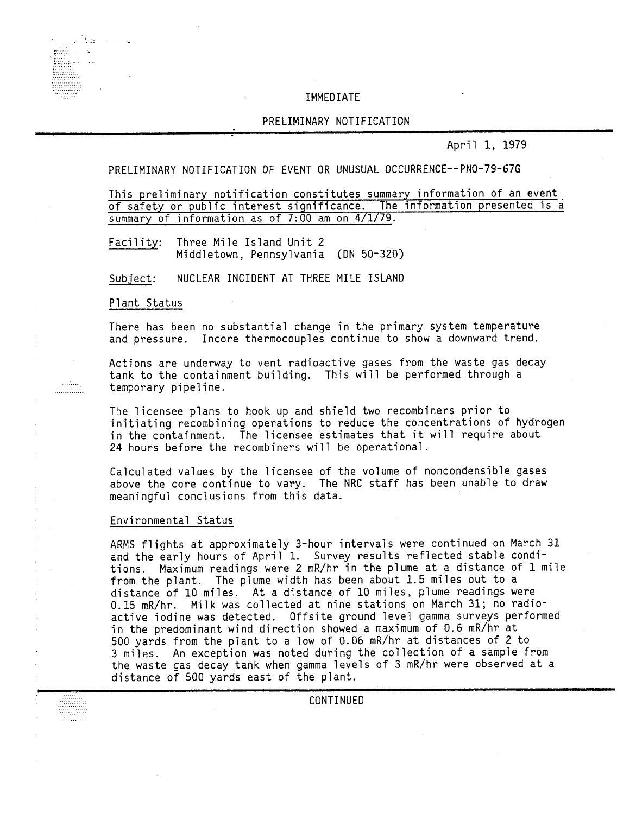## IMMEDIATE

# PRELIMINARY NOTIFICATION

April 1, 1979

# PRELIMINARY NOTIFICATION OF EVENT OR UNUSUAL OCCURRENCE--PNO-79-67G

This preliminary notification constitutes summary information of an event. of safety or public interest significance. The information presented is a summary of information as of  $7:00$  am on  $4/1/79$ .

Facility: Three Mile Island Unit 2 Middletown, Pennsylvania (ON 50-320)

NUCLEAR INCIDENT AT THREE MILE ISLAND Subiect:

Plant Status

There has been no substantial change in the primary system temperature and pressure. Incore thermocouples continue to show a downward trend.

Actions are underway to vent radioactive gases from the waste gas decay tank to the containment building. This will be performed through a temporary pipeline.

The licensee plans to hook up and shield two recombiners prior to initiating recombining operations to reduce the concentrations of hydrogen in the containment. The licensee estimates that it will require about 24 hours before the recombiners will be operational.

Calculated values by the licensee of the volume of noncondensible gases above the core continue to vary. The NRC staff has been unable to draw meaningful conclusions from this data.

## Environmental Status

ARMS flights at approximately 3-hour intervals were continued on March 31 and the early hours of April 1. Survey results reflected stable conditions. Maximum readings were 2 mR/hr in the plume at a distance of 1 mile from the plant. The plume width has been about 1.5 miles out to a distance of 10 miles. At a distance of 10 miles, plume readings were 0.15 mR/hr. Milk was collected at nine stations on March 31; no radioactive iodine was detected. Offsite ground level gamma surveys performed in the predominant wind direction showed a maximum of 0.6 mR/hr at *500* yards from the plant to a low of 0.06 mR/hr at distances of 2 to 3 miles. An exception was noted during the collection of a sample from the waste gas decay tank when gamma levels of 3 mR/hr were observed at a distance of 500 yards east of the plant.



CONTINUED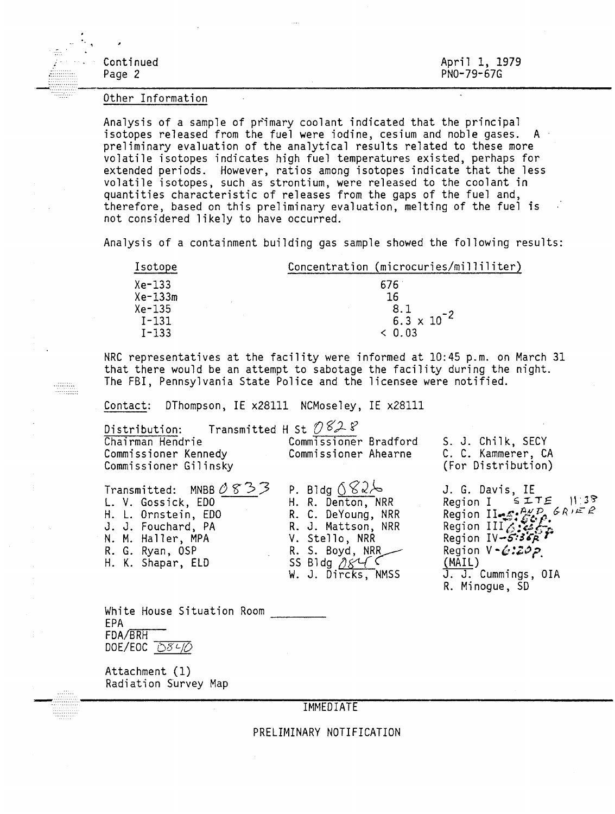| $\sim$ $\sim$ $\sim$                   |                             |
|----------------------------------------|-----------------------------|
| <b>Continued</b><br>Page 2<br>i.<br>Ba | April 1, 1979<br>PN0-79-67G |

#### Other Information

÷Ē.

Analysis of a sample of primary coolant indicated that the principal isotopes released from the fuel were iodine, cesium and noble gases. A preliminary evaluation of the analytical results related to these more volatile isotopes indicates high fuel temperatures existed, perhaps for extended periods. However, ratios among isotopes indicate that the less volatile isotopes, such as strontium, were released to the coolant in quantities characteristic of releases from the gaps of the fuel and, therefore, based on this preliminary evaluation, melting of the fuel is not considered likely to have occurred.

Analysis of a containment building gas sample showed the following results:

| Isotope   | Concentration (microcuries/milliliter) |  |  |
|-----------|----------------------------------------|--|--|
| Xe-133    | 676                                    |  |  |
| Xe-133m   | 16                                     |  |  |
| Xe-135    | 8.1                                    |  |  |
| $I - 131$ | $6.\overline{3} \times 10^{-2}$        |  |  |
| $I - 133$ | $\leq 0.03$                            |  |  |

NRC representatives at the facility were informed at 10:45 p.m. on March 31 that there would be an attempt to sabotage the facility during the night. The FBI, Pennsylvania State Police and the licensee were notified.

Contact: DThompson, IE x28111 NCMoseley, IE x28111

| Distribution: Transmitted H St $\mathcal{O} \mathcal{L} \mathcal{L}$<br>Chairman Hendrie Commissioner Bradford<br>Commissioner Kennedy and Commissioner Kennedy<br>Commissioner Gilinsky            | Commissioner Ahearne                                                                                                                                              | S. J. Chilk, SECY<br>C. C. Kammerer, CA<br>(For Distribution)                                                                                                                                                                                 |
|-----------------------------------------------------------------------------------------------------------------------------------------------------------------------------------------------------|-------------------------------------------------------------------------------------------------------------------------------------------------------------------|-----------------------------------------------------------------------------------------------------------------------------------------------------------------------------------------------------------------------------------------------|
| Transmitted: MNBB $\mathcal{O} \mathcal{S} \mathcal{P} \mathcal{P}$<br>L. V. Gossick, EDO<br>H. L. Ornstein, EDO<br>J. J. Fouchard, PA<br>N. M. Haller, MPA<br>R. G. Ryan, OSP<br>H. K. Shapar, ELD | P. Bldg $082/6$<br>H. R. Denton, NRR<br>R. C. DeYoung, NRR<br>R. J. Mattson, NRR<br>V. Stello, NRR<br>R. S. Boyd, NRR____<br>SS Bldg $0846$<br>W. J. Dircks, NMSS | J. G. Davis, IE<br>Region I $SITE$  1:38<br>Region II. $\mathcal{L}^{P,P}$ , $\mathcal{L}^{R,P}$<br>Region III. $\mathcal{L}^{P,P}$<br>Region $IV-5:3667$<br>Region $V - \mathcal{L}$ :202<br>(MAIL)<br>J. J. Cummings, OIA<br>R. Minoque, SD |

White House Situation Room White House Situation Room<br>EPA \_\_\_\_\_\_\_  $FDA/BRH$ DOE/EOC *bSLf{)*

Attachment (1) Radiation Survey Map

**IMMEDIATE** 

PRELIMINARY NOTIFICATION